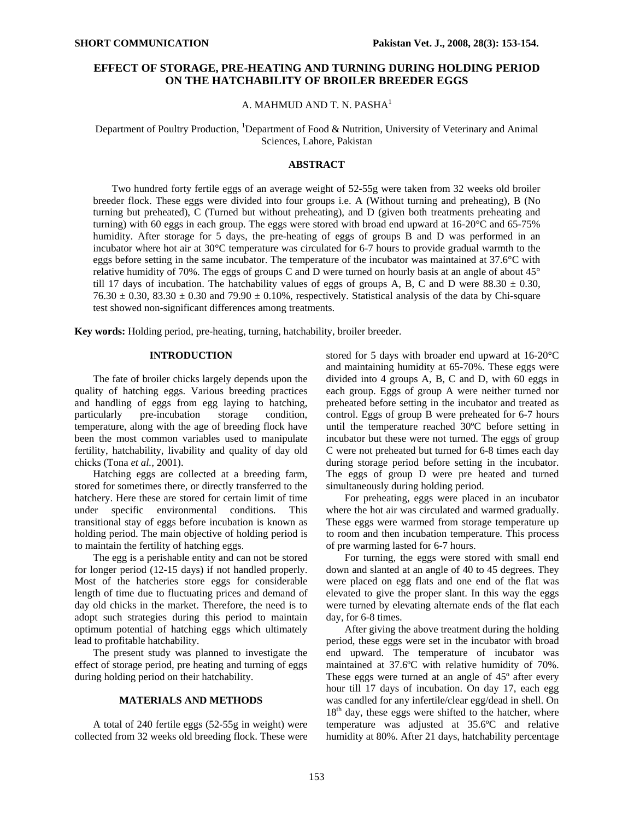# **EFFECT OF STORAGE, PRE-HEATING AND TURNING DURING HOLDING PERIOD ON THE HATCHABILITY OF BROILER BREEDER EGGS**

## A. MAHMUD AND T. N. PASHA<sup>1</sup>

Department of Poultry Production, <sup>1</sup>Department of Food & Nutrition, University of Veterinary and Animal Sciences, Lahore, Pakistan

### **ABSTRACT**

Two hundred forty fertile eggs of an average weight of 52-55g were taken from 32 weeks old broiler breeder flock. These eggs were divided into four groups i.e. A (Without turning and preheating), B (No turning but preheated), C (Turned but without preheating), and D (given both treatments preheating and turning) with 60 eggs in each group. The eggs were stored with broad end upward at  $16{\text -}20^{\circ}\text{C}$  and  $65{\text -}75\%$ humidity. After storage for 5 days, the pre-heating of eggs of groups B and D was performed in an incubator where hot air at 30°C temperature was circulated for 6-7 hours to provide gradual warmth to the eggs before setting in the same incubator. The temperature of the incubator was maintained at 37.6°C with relative humidity of 70%. The eggs of groups C and D were turned on hourly basis at an angle of about  $45^{\circ}$ till 17 days of incubation. The hatchability values of eggs of groups A, B, C and D were 88.30  $\pm$  0.30,  $76.30 \pm 0.30$ ,  $83.30 \pm 0.30$  and  $79.90 \pm 0.10\%$ , respectively. Statistical analysis of the data by Chi-square test showed non-significant differences among treatments.

**Key words:** Holding period, pre-heating, turning, hatchability, broiler breeder.

#### **INTRODUCTION**

The fate of broiler chicks largely depends upon the quality of hatching eggs. Various breeding practices and handling of eggs from egg laying to hatching, particularly pre-incubation storage condition, temperature, along with the age of breeding flock have been the most common variables used to manipulate fertility, hatchability, livability and quality of day old chicks (Tona *et al.,* 2001).

Hatching eggs are collected at a breeding farm, stored for sometimes there, or directly transferred to the hatchery. Here these are stored for certain limit of time under specific environmental conditions. This transitional stay of eggs before incubation is known as holding period. The main objective of holding period is to maintain the fertility of hatching eggs.

The egg is a perishable entity and can not be stored for longer period (12-15 days) if not handled properly. Most of the hatcheries store eggs for considerable length of time due to fluctuating prices and demand of day old chicks in the market. Therefore, the need is to adopt such strategies during this period to maintain optimum potential of hatching eggs which ultimately lead to profitable hatchability.

The present study was planned to investigate the effect of storage period, pre heating and turning of eggs during holding period on their hatchability.

## **MATERIALS AND METHODS**

A total of 240 fertile eggs (52-55g in weight) were collected from 32 weeks old breeding flock. These were stored for 5 days with broader end upward at 16-20°C and maintaining humidity at 65-70%. These eggs were divided into 4 groups A, B, C and D, with 60 eggs in each group. Eggs of group A were neither turned nor preheated before setting in the incubator and treated as control. Eggs of group B were preheated for 6-7 hours until the temperature reached 30ºC before setting in incubator but these were not turned. The eggs of group C were not preheated but turned for 6-8 times each day during storage period before setting in the incubator. The eggs of group D were pre heated and turned simultaneously during holding period.

For preheating, eggs were placed in an incubator where the hot air was circulated and warmed gradually. These eggs were warmed from storage temperature up to room and then incubation temperature. This process of pre warming lasted for 6-7 hours.

For turning, the eggs were stored with small end down and slanted at an angle of 40 to 45 degrees. They were placed on egg flats and one end of the flat was elevated to give the proper slant. In this way the eggs were turned by elevating alternate ends of the flat each day, for 6-8 times.

After giving the above treatment during the holding period, these eggs were set in the incubator with broad end upward. The temperature of incubator was maintained at 37.6ºC with relative humidity of 70%. These eggs were turned at an angle of 45º after every hour till 17 days of incubation. On day 17, each egg was candled for any infertile/clear egg/dead in shell. On  $18<sup>th</sup>$  day, these eggs were shifted to the hatcher, where temperature was adjusted at 35.6ºC and relative humidity at 80%. After 21 days, hatchability percentage